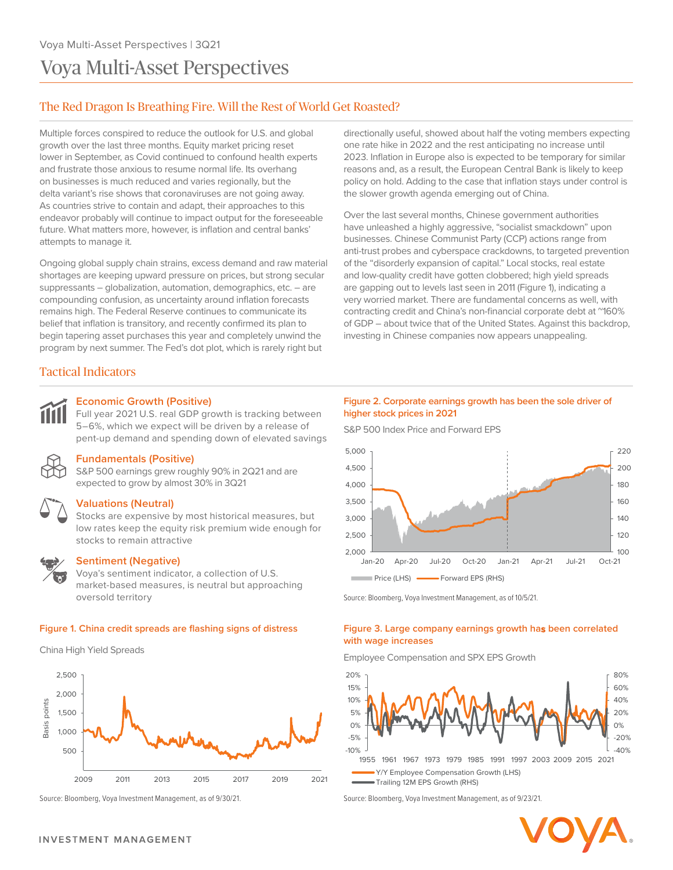# Voya Multi-Asset Perspectives

# The Red Dragon Is Breathing Fire. Will the Rest of World Get Roasted?

Multiple forces conspired to reduce the outlook for U.S. and global growth over the last three months. Equity market pricing reset lower in September, as Covid continued to confound health experts and frustrate those anxious to resume normal life. Its overhang on businesses is much reduced and varies regionally, but the delta variant's rise shows that coronaviruses are not going away. As countries strive to contain and adapt, their approaches to this endeavor probably will continue to impact output for the foreseeable future. What matters more, however, is inflation and central banks' attempts to manage it.

Ongoing global supply chain strains, excess demand and raw material shortages are keeping upward pressure on prices, but strong secular suppressants ― globalization, automation, demographics, etc. ― are compounding confusion, as uncertainty around inflation forecasts remains high. The Federal Reserve continues to communicate its belief that inflation is transitory, and recently confirmed its plan to begin tapering asset purchases this year and completely unwind the program by next summer. The Fed's dot plot, which is rarely right but

Tactical Indicators

### **Economic Growth (Positive)**

Full year 2021 U.S. real GDP growth is tracking between 5–6%, which we expect will be driven by a release of pent-up demand and spending down of elevated savings



# **Fundamentals (Positive)**

S&P 500 earnings grew roughly 90% in 2Q21 and are expected to grow by almost 30% in 3Q21



#### **Valuations (Neutral)**

Stocks are expensive by most historical measures, but low rates keep the equity risk premium wide enough for stocks to remain attractive



## **Sentiment (Negative)**

Voya's sentiment indicator, a collection of U.S. market-based measures, is neutral but approaching oversold territory

#### **Figure 1. China credit spreads are flashing signs of distress**

China High Yield Spreads



directionally useful, showed about half the voting members expecting one rate hike in 2022 and the rest anticipating no increase until 2023. Inflation in Europe also is expected to be temporary for similar reasons and, as a result, the European Central Bank is likely to keep policy on hold. Adding to the case that inflation stays under control is the slower growth agenda emerging out of China.

Over the last several months, Chinese government authorities have unleashed a highly aggressive, "socialist smackdown" upon businesses. Chinese Communist Party (CCP) actions range from anti-trust probes and cyberspace crackdowns, to targeted prevention of the "disorderly expansion of capital." Local stocks, real estate and low-quality credit have gotten clobbered; high yield spreads are gapping out to levels last seen in 2011 (Figure 1), indicating a very worried market. There are fundamental concerns as well, with contracting credit and China's non-financial corporate debt at ~160% of GDP ― about twice that of the United States. Against this backdrop, investing in Chinese companies now appears unappealing.

#### **Figure 2. Corporate earnings growth has been the sole driver of higher stock prices in 2021**

S&P 500 Index Price and Forward EPS



Source: Bloomberg, Voya Investment Management, as of 10/5/21.

#### **Figure 3. Large company earnings growth has been correlated with wage increases**

Employee Compensation and SPX EPS Growth



Source: Bloomberg, Voya Investment Management, as of 9/30/21. Source: Bloomberg, Voya Investment Management, as of 9/23/21.

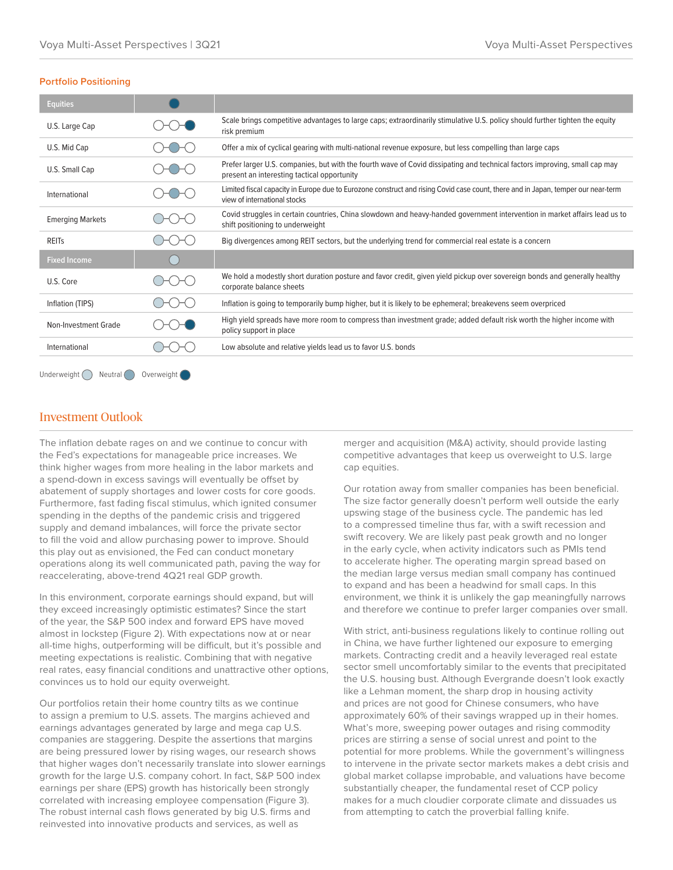#### **Portfolio Positioning**

| <b>Equities</b>                            |  |                                                                                                                                                                           |
|--------------------------------------------|--|---------------------------------------------------------------------------------------------------------------------------------------------------------------------------|
| U.S. Large Cap                             |  | Scale brings competitive advantages to large caps; extraordinarily stimulative U.S. policy should further tighten the equity<br>risk premium                              |
| U.S. Mid Cap                               |  | Offer a mix of cyclical gearing with multi-national revenue exposure, but less compelling than large caps                                                                 |
| U.S. Small Cap                             |  | Prefer larger U.S. companies, but with the fourth wave of Covid dissipating and technical factors improving, small cap may<br>present an interesting tactical opportunity |
| International                              |  | Limited fiscal capacity in Europe due to Eurozone construct and rising Covid case count, there and in Japan, temper our near-term<br>view of international stocks         |
| <b>Emerging Markets</b>                    |  | Covid struggles in certain countries, China slowdown and heavy-handed government intervention in market affairs lead us to<br>shift positioning to underweight            |
| <b>REITS</b>                               |  | Big divergences among REIT sectors, but the underlying trend for commercial real estate is a concern                                                                      |
| <b>Fixed Income</b>                        |  |                                                                                                                                                                           |
| U.S. Core                                  |  | We hold a modestly short duration posture and favor credit, given yield pickup over sovereign bonds and generally healthy<br>corporate balance sheets                     |
| Inflation (TIPS)                           |  | Inflation is going to temporarily bump higher, but it is likely to be ephemeral; breakevens seem overpriced                                                               |
| Non-Investment Grade                       |  | High yield spreads have more room to compress than investment grade; added default risk worth the higher income with<br>policy support in place                           |
| International                              |  | Low absolute and relative yields lead us to favor U.S. bonds                                                                                                              |
| Underweight (<br>Overweight (<br>Neutral ( |  |                                                                                                                                                                           |

# Investment Outlook

The inflation debate rages on and we continue to concur with the Fed's expectations for manageable price increases. We think higher wages from more healing in the labor markets and a spend-down in excess savings will eventually be offset by abatement of supply shortages and lower costs for core goods. Furthermore, fast fading fiscal stimulus, which ignited consumer spending in the depths of the pandemic crisis and triggered supply and demand imbalances, will force the private sector to fill the void and allow purchasing power to improve. Should this play out as envisioned, the Fed can conduct monetary operations along its well communicated path, paving the way for reaccelerating, above-trend 4Q21 real GDP growth.

In this environment, corporate earnings should expand, but will they exceed increasingly optimistic estimates? Since the start of the year, the S&P 500 index and forward EPS have moved almost in lockstep (Figure 2). With expectations now at or near all-time highs, outperforming will be difficult, but it's possible and meeting expectations is realistic. Combining that with negative real rates, easy financial conditions and unattractive other options, convinces us to hold our equity overweight.

Our portfolios retain their home country tilts as we continue to assign a premium to U.S. assets. The margins achieved and earnings advantages generated by large and mega cap U.S. companies are staggering. Despite the assertions that margins are being pressured lower by rising wages, our research shows that higher wages don't necessarily translate into slower earnings growth for the large U.S. company cohort. In fact, S&P 500 index earnings per share (EPS) growth has historically been strongly correlated with increasing employee compensation (Figure 3). The robust internal cash flows generated by big U.S. firms and reinvested into innovative products and services, as well as

merger and acquisition (M&A) activity, should provide lasting competitive advantages that keep us overweight to U.S. large cap equities.

Our rotation away from smaller companies has been beneficial. The size factor generally doesn't perform well outside the early upswing stage of the business cycle. The pandemic has led to a compressed timeline thus far, with a swift recession and swift recovery. We are likely past peak growth and no longer in the early cycle, when activity indicators such as PMIs tend to accelerate higher. The operating margin spread based on the median large versus median small company has continued to expand and has been a headwind for small caps. In this environment, we think it is unlikely the gap meaningfully narrows and therefore we continue to prefer larger companies over small.

With strict, anti-business regulations likely to continue rolling out in China, we have further lightened our exposure to emerging markets. Contracting credit and a heavily leveraged real estate sector smell uncomfortably similar to the events that precipitated the U.S. housing bust. Although Evergrande doesn't look exactly like a Lehman moment, the sharp drop in housing activity and prices are not good for Chinese consumers, who have approximately 60% of their savings wrapped up in their homes. What's more, sweeping power outages and rising commodity prices are stirring a sense of social unrest and point to the potential for more problems. While the government's willingness to intervene in the private sector markets makes a debt crisis and global market collapse improbable, and valuations have become substantially cheaper, the fundamental reset of CCP policy makes for a much cloudier corporate climate and dissuades us from attempting to catch the proverbial falling knife.